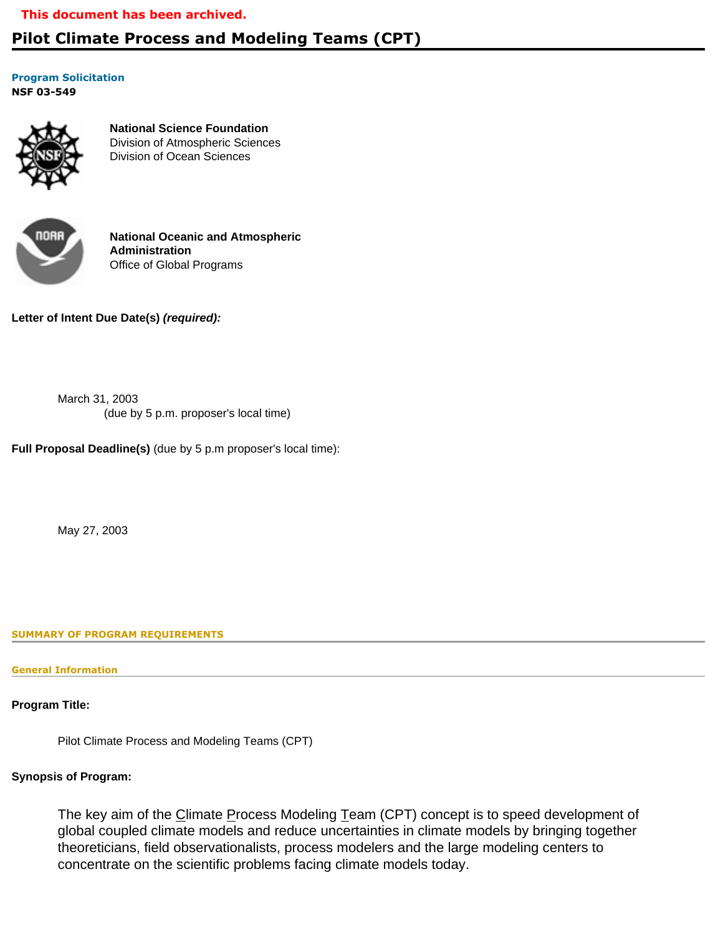# <span id="page-0-0"></span>**This document has been archived.**

# **Pilot Climate Process and Modeling Teams (CPT)**

**[Program Solicitation](#page-2-0)  NSF 03-549** 



**National Science Foundation** Division of Atmospheric Sciences Division of Ocean Sciences



**National Oceanic and Atmospheric Administration** Office of Global Programs

**Letter of Intent Due Date(s)** *(required):*

March 31, 2003 (due by 5 p.m. proposer's local time)

**Full Proposal Deadline(s)** (due by 5 p.m proposer's local time):

May 27, 2003

**SUMMARY OF PROGRAM REQUIREMENTS**

**General Information**

**Program Title:**

Pilot Climate Process and Modeling Teams (CPT)

# **Synopsis of Program:**

The key aim of the Climate Process Modeling Team (CPT) concept is to speed development of global coupled climate models and reduce uncertainties in climate models by bringing together theoreticians, field observationalists, process modelers and the large modeling centers to concentrate on the scientific problems facing climate models today.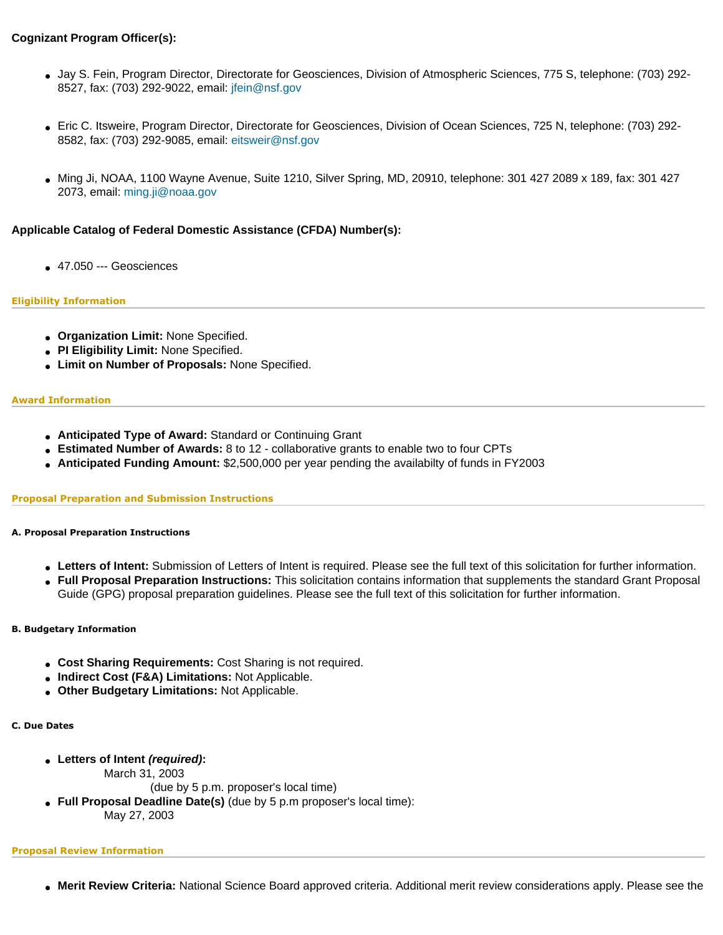# **Cognizant Program Officer(s):**

- Jay S. Fein, Program Director, Directorate for Geosciences, Division of Atmospheric Sciences, 775 S, telephone: (703) 292- 8527, fax: (703) 292-9022, email: [jfein@nsf.gov](mailto:jfein@nsf.gov)
- Eric C. Itsweire, Program Director, Directorate for Geosciences, Division of Ocean Sciences, 725 N, telephone: (703) 292- 8582, fax: (703) 292-9085, email: [eitsweir@nsf.gov](mailto:eitsweir@nsf.gov)
- Ming Ji, NOAA, 1100 Wayne Avenue, Suite 1210, Silver Spring, MD, 20910, telephone: 301 427 2089 x 189, fax: 301 427 2073, email: [ming.ji@noaa.gov](mailto:ming.ji@noaa.gov)

# **Applicable Catalog of Federal Domestic Assistance (CFDA) Number(s):**

● 47.050 --- Geosciences

# **Eligibility Information**

- **Organization Limit:** None Specified.
- **PI Eligibility Limit:** None Specified.
- **Limit on Number of Proposals:** None Specified.

# **Award Information**

- **Anticipated Type of Award:** Standard or Continuing Grant
- **Estimated Number of Awards:** 8 to 12 collaborative grants to enable two to four CPTs
- Anticipated Funding Amount: \$2,500,000 per year pending the availabilty of funds in FY2003

### **Proposal Preparation and Submission Instructions**

# **A. Proposal Preparation Instructions**

- Letters of Intent: Submission of Letters of Intent is required. Please see the full text of this solicitation for further information.
- **Full Proposal Preparation Instructions:** This solicitation contains information that supplements the standard Grant Proposal Guide (GPG) proposal preparation guidelines. Please see the full text of this solicitation for further information.

# **B. Budgetary Information**

- **Cost Sharing Requirements:** Cost Sharing is not required.
- **Indirect Cost (F&A) Limitations:** Not Applicable.
- **Other Budgetary Limitations:** Not Applicable.

# **C. Due Dates**

- **Letters of Intent** *(required)***:** 
	- March 31, 2003

(due by 5 p.m. proposer's local time)

- **Full Proposal Deadline Date(s)** (due by 5 p.m proposer's local time):
	- May 27, 2003

# **Proposal Review Information**

● **Merit Review Criteria:** National Science Board approved criteria. Additional merit review considerations apply. Please see the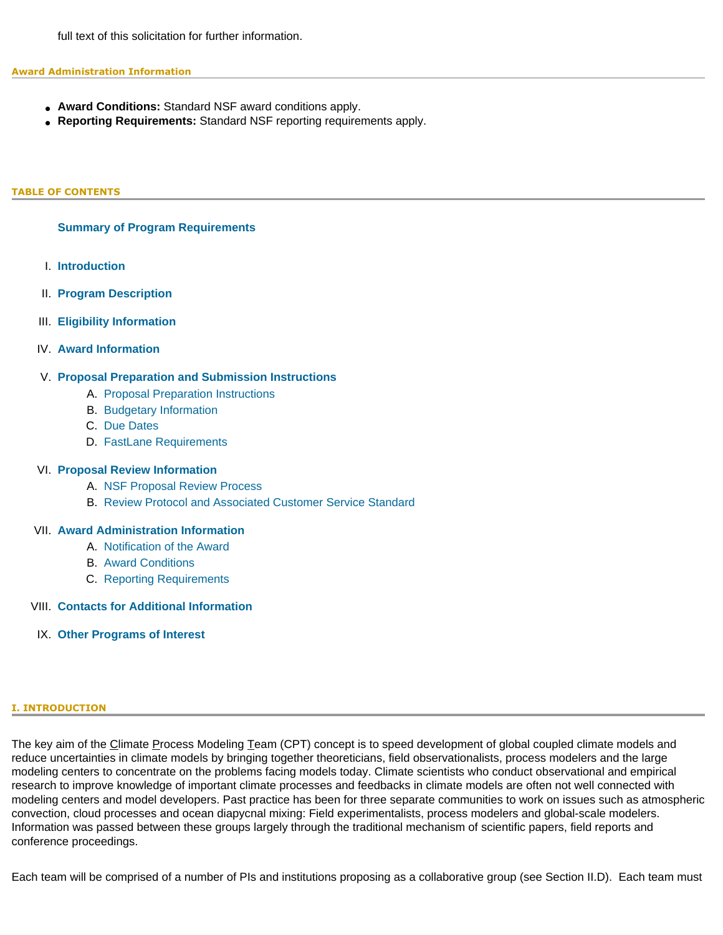full text of this solicitation for further information.

#### **Award Administration Information**

- **Award Conditions:** Standard NSF award conditions apply.
- <span id="page-2-0"></span>• **Reporting Requirements:** Standard NSF reporting requirements apply.

### **TABLE OF CONTENTS**

# **[Summary of Program Requirements](#page-0-0)**

- I. **[Introduction](#page-2-1)**
- II. **[Program Description](#page-3-0)**
- III. **[Eligibility Information](#page-6-0)**
- IV. **[Award Information](#page-6-1)**

# V. **[Proposal Preparation and Submission Instructions](#page-6-2)**

- A. [Proposal Preparation Instructions](#page-6-2)
- B. [Budgetary Information](#page-7-0)
- C. [Due Dates](#page-7-1)
- D. [FastLane Requirements](#page-8-0)

### VI. **[Proposal Review Information](#page-8-1)**

- A. [NSF Proposal Review Process](#page-8-2)
- B. [Review Protocol and Associated Customer Service Standard](#page-9-0)

### VII. **[Award Administration Information](#page-10-0)**

- A. [Notification of the Award](#page-10-1)
- B. [Award Conditions](#page-10-2)
- C. [Reporting Requirements](#page-10-3)

# VIII. **[Contacts for Additional Information](#page-11-0)**

<span id="page-2-1"></span>IX. **[Other Programs of Interest](#page-11-1)**

# **I. INTRODUCTION**

The key aim of the Climate Process Modeling Team (CPT) concept is to speed development of global coupled climate models and reduce uncertainties in climate models by bringing together theoreticians, field observationalists, process modelers and the large modeling centers to concentrate on the problems facing models today. Climate scientists who conduct observational and empirical research to improve knowledge of important climate processes and feedbacks in climate models are often not well connected with modeling centers and model developers. Past practice has been for three separate communities to work on issues such as atmospheric convection, cloud processes and ocean diapycnal mixing: Field experimentalists, process modelers and global-scale modelers. Information was passed between these groups largely through the traditional mechanism of scientific papers, field reports and conference proceedings.

Each team will be comprised of a number of PIs and institutions proposing as a collaborative group (see Section II.D). Each team must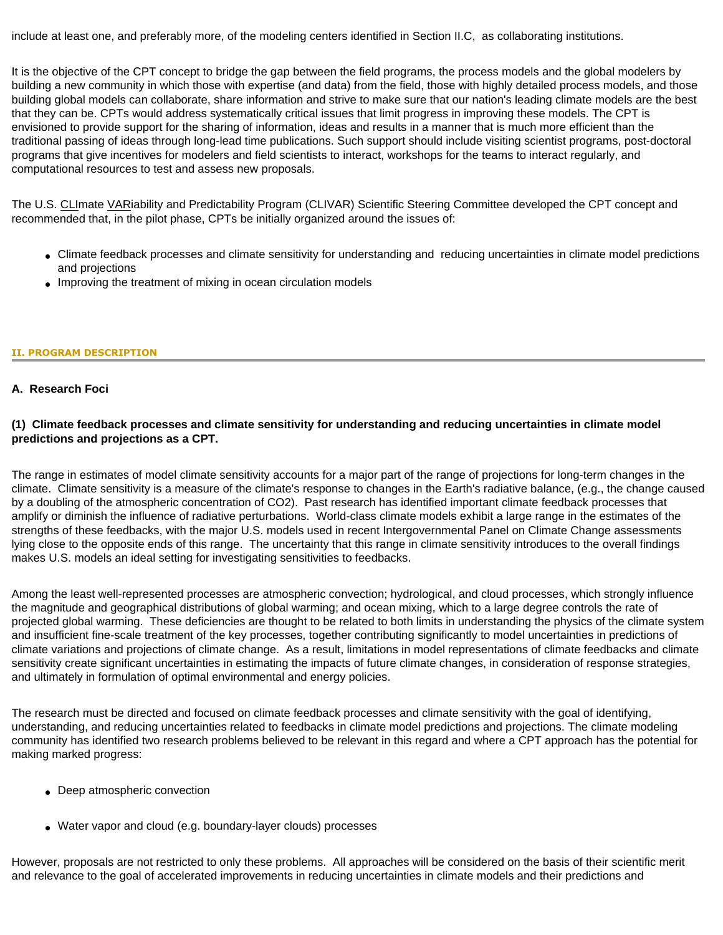include at least one, and preferably more, of the modeling centers identified in Section II.C, as collaborating institutions.

It is the objective of the CPT concept to bridge the gap between the field programs, the process models and the global modelers by building a new community in which those with expertise (and data) from the field, those with highly detailed process models, and those building global models can collaborate, share information and strive to make sure that our nation's leading climate models are the best that they can be. CPTs would address systematically critical issues that limit progress in improving these models. The CPT is envisioned to provide support for the sharing of information, ideas and results in a manner that is much more efficient than the traditional passing of ideas through long-lead time publications. Such support should include visiting scientist programs, post-doctoral programs that give incentives for modelers and field scientists to interact, workshops for the teams to interact regularly, and computational resources to test and assess new proposals.

The U.S. CLImate VARiability and Predictability Program (CLIVAR) Scientific Steering Committee developed the CPT concept and recommended that, in the pilot phase, CPTs be initially organized around the issues of:

- Climate feedback processes and climate sensitivity for understanding and reducing uncertainties in climate model predictions and projections
- <span id="page-3-0"></span>• Improving the treatment of mixing in ocean circulation models

### **II. PROGRAM DESCRIPTION**

# **A. Research Foci**

# **(1) Climate feedback processes and climate sensitivity for understanding and reducing uncertainties in climate model predictions and projections as a CPT.**

The range in estimates of model climate sensitivity accounts for a major part of the range of projections for long-term changes in the climate. Climate sensitivity is a measure of the climate's response to changes in the Earth's radiative balance, (e.g., the change caused by a doubling of the atmospheric concentration of CO2). Past research has identified important climate feedback processes that amplify or diminish the influence of radiative perturbations. World-class climate models exhibit a large range in the estimates of the strengths of these feedbacks, with the major U.S. models used in recent Intergovernmental Panel on Climate Change assessments lying close to the opposite ends of this range. The uncertainty that this range in climate sensitivity introduces to the overall findings makes U.S. models an ideal setting for investigating sensitivities to feedbacks.

Among the least well-represented processes are atmospheric convection; hydrological, and cloud processes, which strongly influence the magnitude and geographical distributions of global warming; and ocean mixing, which to a large degree controls the rate of projected global warming. These deficiencies are thought to be related to both limits in understanding the physics of the climate system and insufficient fine-scale treatment of the key processes, together contributing significantly to model uncertainties in predictions of climate variations and projections of climate change. As a result, limitations in model representations of climate feedbacks and climate sensitivity create significant uncertainties in estimating the impacts of future climate changes, in consideration of response strategies, and ultimately in formulation of optimal environmental and energy policies.

The research must be directed and focused on climate feedback processes and climate sensitivity with the goal of identifying, understanding, and reducing uncertainties related to feedbacks in climate model predictions and projections. The climate modeling community has identified two research problems believed to be relevant in this regard and where a CPT approach has the potential for making marked progress:

- Deep atmospheric convection
- Water vapor and cloud (e.g. boundary-layer clouds) processes

However, proposals are not restricted to only these problems. All approaches will be considered on the basis of their scientific merit and relevance to the goal of accelerated improvements in reducing uncertainties in climate models and their predictions and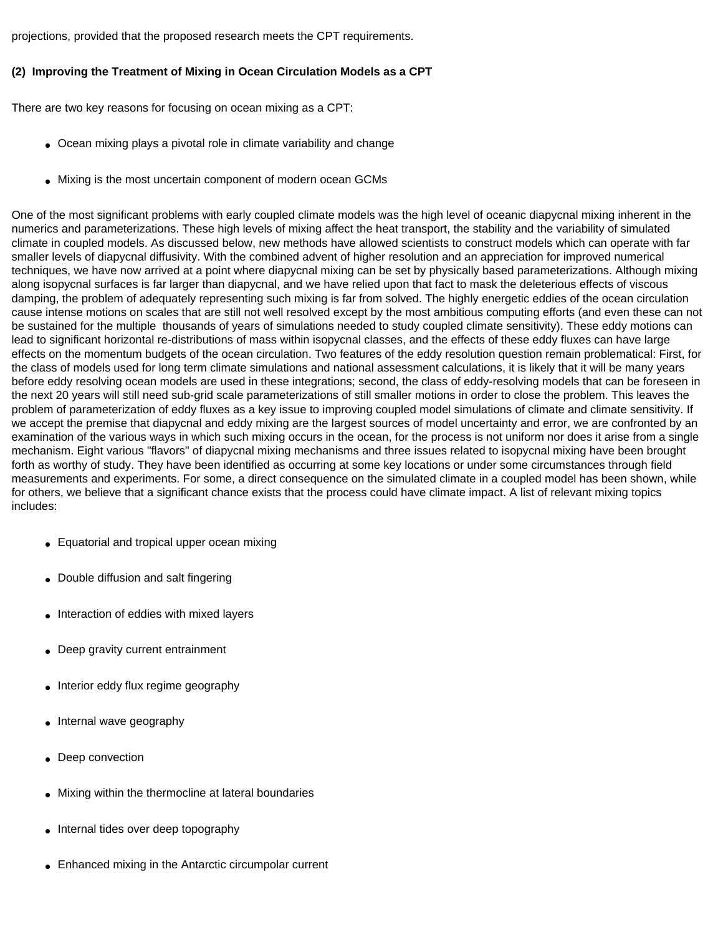projections, provided that the proposed research meets the CPT requirements.

# **(2) Improving the Treatment of Mixing in Ocean Circulation Models as a CPT**

There are two key reasons for focusing on ocean mixing as a CPT:

- Ocean mixing plays a pivotal role in climate variability and change
- Mixing is the most uncertain component of modern ocean GCMs

One of the most significant problems with early coupled climate models was the high level of oceanic diapycnal mixing inherent in the numerics and parameterizations. These high levels of mixing affect the heat transport, the stability and the variability of simulated climate in coupled models. As discussed below, new methods have allowed scientists to construct models which can operate with far smaller levels of diapycnal diffusivity. With the combined advent of higher resolution and an appreciation for improved numerical techniques, we have now arrived at a point where diapycnal mixing can be set by physically based parameterizations. Although mixing along isopycnal surfaces is far larger than diapycnal, and we have relied upon that fact to mask the deleterious effects of viscous damping, the problem of adequately representing such mixing is far from solved. The highly energetic eddies of the ocean circulation cause intense motions on scales that are still not well resolved except by the most ambitious computing efforts (and even these can not be sustained for the multiple thousands of years of simulations needed to study coupled climate sensitivity). These eddy motions can lead to significant horizontal re-distributions of mass within isopycnal classes, and the effects of these eddy fluxes can have large effects on the momentum budgets of the ocean circulation. Two features of the eddy resolution question remain problematical: First, for the class of models used for long term climate simulations and national assessment calculations, it is likely that it will be many years before eddy resolving ocean models are used in these integrations; second, the class of eddy-resolving models that can be foreseen in the next 20 years will still need sub-grid scale parameterizations of still smaller motions in order to close the problem. This leaves the problem of parameterization of eddy fluxes as a key issue to improving coupled model simulations of climate and climate sensitivity. If we accept the premise that diapycnal and eddy mixing are the largest sources of model uncertainty and error, we are confronted by an examination of the various ways in which such mixing occurs in the ocean, for the process is not uniform nor does it arise from a single mechanism. Eight various "flavors" of diapycnal mixing mechanisms and three issues related to isopycnal mixing have been brought forth as worthy of study. They have been identified as occurring at some key locations or under some circumstances through field measurements and experiments. For some, a direct consequence on the simulated climate in a coupled model has been shown, while for others, we believe that a significant chance exists that the process could have climate impact. A list of relevant mixing topics includes:

- Equatorial and tropical upper ocean mixing
- Double diffusion and salt fingering
- Interaction of eddies with mixed layers
- Deep gravity current entrainment
- Interior eddy flux regime geography
- Internal wave geography
- Deep convection
- Mixing within the thermocline at lateral boundaries
- Internal tides over deep topography
- Enhanced mixing in the Antarctic circumpolar current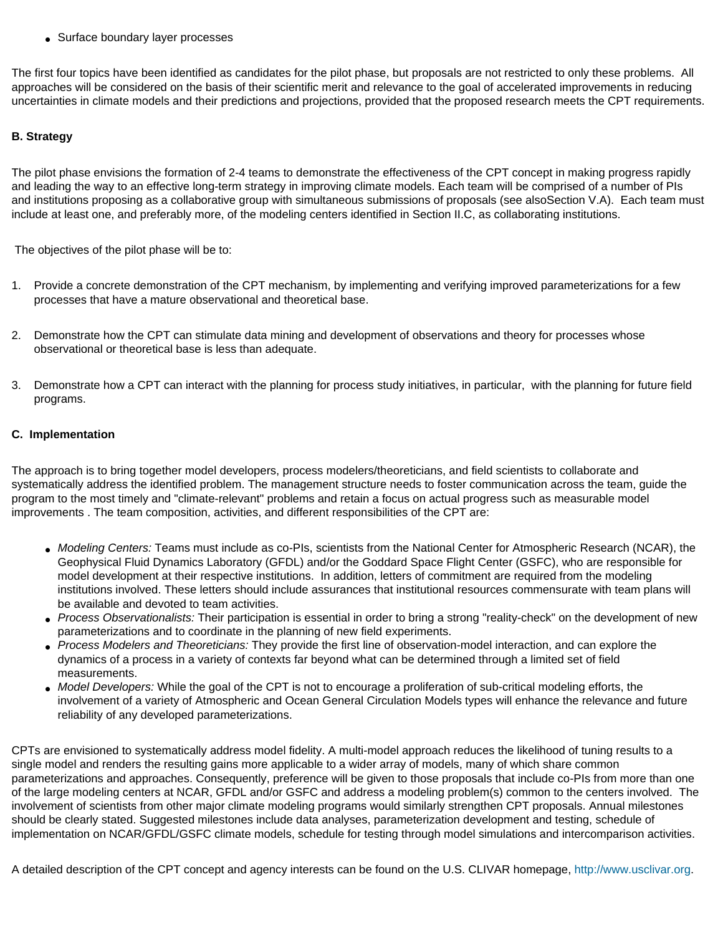• Surface boundary layer processes

The first four topics have been identified as candidates for the pilot phase, but proposals are not restricted to only these problems. All approaches will be considered on the basis of their scientific merit and relevance to the goal of accelerated improvements in reducing uncertainties in climate models and their predictions and projections, provided that the proposed research meets the CPT requirements.

# **B. Strategy**

The pilot phase envisions the formation of 2-4 teams to demonstrate the effectiveness of the CPT concept in making progress rapidly and leading the way to an effective long-term strategy in improving climate models. Each team will be comprised of a number of PIs and institutions proposing as a collaborative group with simultaneous submissions of proposals (see alsoSection V.A). Each team must include at least one, and preferably more, of the modeling centers identified in Section II.C, as collaborating institutions.

The objectives of the pilot phase will be to:

- 1. Provide a concrete demonstration of the CPT mechanism, by implementing and verifying improved parameterizations for a few processes that have a mature observational and theoretical base.
- 2. Demonstrate how the CPT can stimulate data mining and development of observations and theory for processes whose observational or theoretical base is less than adequate.
- 3. Demonstrate how a CPT can interact with the planning for process study initiatives, in particular, with the planning for future field programs.

# **C. Implementation**

The approach is to bring together model developers, process modelers/theoreticians, and field scientists to collaborate and systematically address the identified problem. The management structure needs to foster communication across the team, guide the program to the most timely and "climate-relevant" problems and retain a focus on actual progress such as measurable model improvements . The team composition, activities, and different responsibilities of the CPT are:

- *Modeling Centers:* Teams must include as co-PIs, scientists from the National Center for Atmospheric Research (NCAR), the Geophysical Fluid Dynamics Laboratory (GFDL) and/or the Goddard Space Flight Center (GSFC), who are responsible for model development at their respective institutions. In addition, letters of commitment are required from the modeling institutions involved. These letters should include assurances that institutional resources commensurate with team plans will be available and devoted to team activities.
- *Process Observationalists:* Their participation is essential in order to bring a strong "reality-check" on the development of new parameterizations and to coordinate in the planning of new field experiments.
- *Process Modelers and Theoreticians:* They provide the first line of observation-model interaction, and can explore the dynamics of a process in a variety of contexts far beyond what can be determined through a limited set of field measurements.
- *Model Developers:* While the goal of the CPT is not to encourage a proliferation of sub-critical modeling efforts, the involvement of a variety of Atmospheric and Ocean General Circulation Models types will enhance the relevance and future reliability of any developed parameterizations.

CPTs are envisioned to systematically address model fidelity. A multi-model approach reduces the likelihood of tuning results to a single model and renders the resulting gains more applicable to a wider array of models, many of which share common parameterizations and approaches. Consequently, preference will be given to those proposals that include co-PIs from more than one of the large modeling centers at NCAR, GFDL and/or GSFC and address a modeling problem(s) common to the centers involved. The involvement of scientists from other major climate modeling programs would similarly strengthen CPT proposals. Annual milestones should be clearly stated. Suggested milestones include data analyses, parameterization development and testing, schedule of implementation on NCAR/GFDL/GSFC climate models, schedule for testing through model simulations and intercomparison activities.

A detailed description of the CPT concept and agency interests can be found on the U.S. CLIVAR homepage, [http://www.usclivar.org](http://www.usclivar.org/).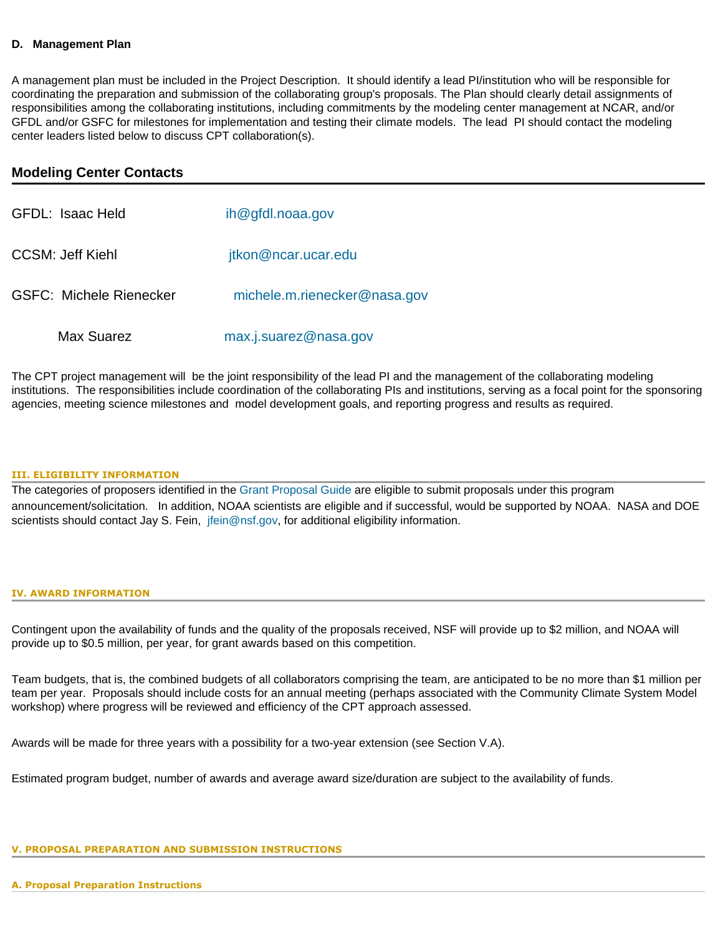# **D. Management Plan**

A management plan must be included in the Project Description. It should identify a lead PI/institution who will be responsible for coordinating the preparation and submission of the collaborating group's proposals. The Plan should clearly detail assignments of responsibilities among the collaborating institutions, including commitments by the modeling center management at NCAR, and/or GFDL and/or GSFC for milestones for implementation and testing their climate models. The lead PI should contact the modeling center leaders listed below to discuss CPT collaboration(s).

# **Modeling Center Contacts**

| GFDL: Isaac Held               | ih@qfdl.noaa.gov             |
|--------------------------------|------------------------------|
| <b>CCSM: Jeff Kiehl</b>        | jtkon@ncar.ucar.edu          |
| <b>GSFC: Michele Rienecker</b> | michele.m.rienecker@nasa.gov |
| <b>Max Suarez</b>              | max.j.suarez@nasa.gov        |

<span id="page-6-0"></span>The CPT project management will be the joint responsibility of the lead PI and the management of the collaborating modeling institutions. The responsibilities include coordination of the collaborating PIs and institutions, serving as a focal point for the sponsoring agencies, meeting science milestones and model development goals, and reporting progress and results as required.

### **III. ELIGIBILITY INFORMATION**

<span id="page-6-1"></span>The categories of proposers identified in the [Grant Proposal Guide](http://www.nsf.gov/pubs/2001/nsf012/nsf0102_1.html#whomaysubmit) are eligible to submit proposals under this program announcement/solicitation. In addition, NOAA scientists are eligible and if successful, would be supported by NOAA. NASA and DOE scientists should contact Jay S. Fein, [jfein@nsf.gov](mailto:jfein@nsf.gov), for additional eligibility information.

#### **IV. AWARD INFORMATION**

Contingent upon the availability of funds and the quality of the proposals received, NSF will provide up to \$2 million, and NOAA will provide up to \$0.5 million, per year, for grant awards based on this competition.

Team budgets, that is, the combined budgets of all collaborators comprising the team, are anticipated to be no more than \$1 million per team per year. Proposals should include costs for an annual meeting (perhaps associated with the Community Climate System Model workshop) where progress will be reviewed and efficiency of the CPT approach assessed.

Awards will be made for three years with a possibility for a two-year extension (see Section V.A).

<span id="page-6-2"></span>Estimated program budget, number of awards and average award size/duration are subject to the availability of funds.

# **V. PROPOSAL PREPARATION AND SUBMISSION INSTRUCTIONS**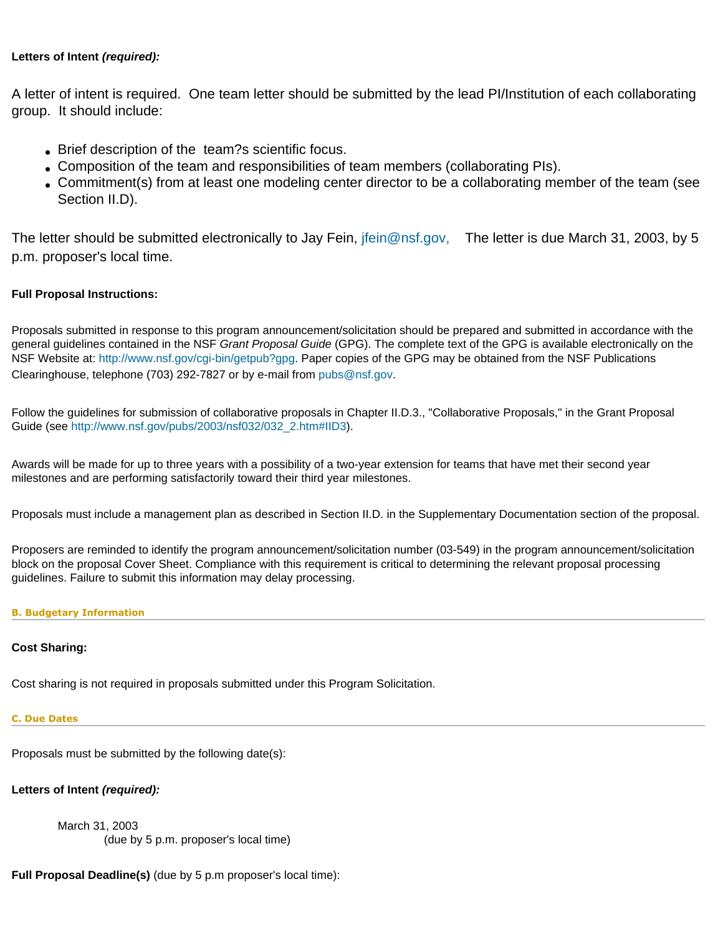# **Letters of Intent** *(required):*

A letter of intent is required. One team letter should be submitted by the lead PI/Institution of each collaborating group. It should include:

- Brief description of the team?s scientific focus.
- Composition of the team and responsibilities of team members (collaborating PIs).
- Commitment(s) from at least one modeling center director to be a collaborating member of the team (see Section II.D).

The letter should be submitted electronically to Jay Fein, [jfein@nsf.gov,](mailto:jfein@nsf.gov,�) The letter is due March 31, 2003, by 5 p.m. proposer's local time.

# **Full Proposal Instructions:**

Proposals submitted in response to this program announcement/solicitation should be prepared and submitted in accordance with the general guidelines contained in the NSF *Grant Proposal Guide* (GPG). The complete text of the GPG is available electronically on the NSF Website at: [http://www.nsf.gov/cgi-bin/getpub?gpg.](http://www.nsf.gov/cgi-bin/getpub?gpg) Paper copies of the GPG may be obtained from the NSF Publications Clearinghouse, telephone (703) 292-7827 or by e-mail from [pubs@nsf.gov.](mailto:pubs@nsf.gov)

Follow the guidelines for submission of collaborative proposals in Chapter II.D.3., "Collaborative Proposals," in the Grant Proposal Guide (see [http://www.nsf.gov/pubs/2003/nsf032/032\\_2.htm#IID3\).](http://www.nsf.gov/pubs/2003/nsf032/032_2.htm#IID3)

Awards will be made for up to three years with a possibility of a two-year extension for teams that have met their second year milestones and are performing satisfactorily toward their third year milestones.

Proposals must include a management plan as described in Section II.D. in the Supplementary Documentation section of the proposal.

Proposers are reminded to identify the program announcement/solicitation number (03-549) in the program announcement/solicitation block on the proposal Cover Sheet. Compliance with this requirement is critical to determining the relevant proposal processing guidelines. Failure to submit this information may delay processing.

# <span id="page-7-0"></span>**B. Budgetary Information**

# **Cost Sharing:**

<span id="page-7-1"></span>Cost sharing is not required in proposals submitted under this Program Solicitation.

# **C. Due Dates**

Proposals must be submitted by the following date(s):

# **Letters of Intent** *(required):*

March 31, 2003 (due by 5 p.m. proposer's local time)

**Full Proposal Deadline(s)** (due by 5 p.m proposer's local time):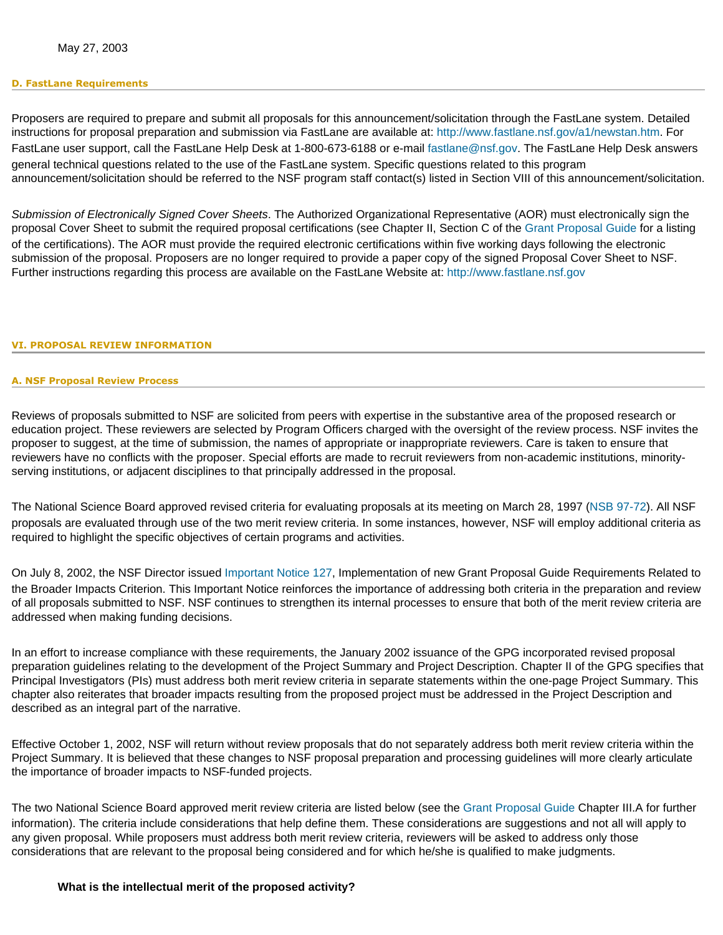#### <span id="page-8-0"></span>**D. FastLane Requirements**

Proposers are required to prepare and submit all proposals for this announcement/solicitation through the FastLane system. Detailed instructions for proposal preparation and submission via FastLane are available at: [http://www.fastlane.nsf.gov/a1/newstan.htm.](http://www.fastlane.nsf.gov/a1/newstan.htm) For FastLane user support, call the FastLane Help Desk at 1-800-673-6188 or e-mail [fastlane@nsf.gov](mailto:fastlane@nsf.gov). The FastLane Help Desk answers general technical questions related to the use of the FastLane system. Specific questions related to this program announcement/solicitation should be referred to the NSF program staff contact(s) listed in Section VIII of this announcement/solicitation.

*Submission of Electronically Signed Cover Sheets*. The Authorized Organizational Representative (AOR) must electronically sign the proposal Cover Sheet to submit the required proposal certifications (see Chapter II, Section C of the [Grant Proposal Guide](http://www.nsf.gov/pubsys/ods/getpub.cfm?gpg) for a listing of the certifications). The AOR must provide the required electronic certifications within five working days following the electronic submission of the proposal. Proposers are no longer required to provide a paper copy of the signed Proposal Cover Sheet to NSF. Further instructions regarding this process are available on the FastLane Website at: [http://www.fastlane.nsf.gov](http://www.fastlane.nsf.gov/)

### <span id="page-8-2"></span><span id="page-8-1"></span>**VI. PROPOSAL REVIEW INFORMATION**

#### **A. NSF Proposal Review Process**

Reviews of proposals submitted to NSF are solicited from peers with expertise in the substantive area of the proposed research or education project. These reviewers are selected by Program Officers charged with the oversight of the review process. NSF invites the proposer to suggest, at the time of submission, the names of appropriate or inappropriate reviewers. Care is taken to ensure that reviewers have no conflicts with the proposer. Special efforts are made to recruit reviewers from non-academic institutions, minorityserving institutions, or adjacent disciplines to that principally addressed in the proposal.

The National Science Board approved revised criteria for evaluating proposals at its meeting on March 28, 1997 ([NSB 97-72\)](http://www.nsf.gov/pubs/2003/nsf03549/%20http://www.nsf.gov/cgi-bin/getpub?nsb9772). All NSF proposals are evaluated through use of the two merit review criteria. In some instances, however, NSF will employ additional criteria as required to highlight the specific objectives of certain programs and activities.

On July 8, 2002, the NSF Director issued [Important Notice 127](http://www.nsf.gov/pubs/2003/nsf03549/%20http://www.nsf.gov/cgi-bin/getpub?iin127), Implementation of new Grant Proposal Guide Requirements Related to the Broader Impacts Criterion. This Important Notice reinforces the importance of addressing both criteria in the preparation and review of all proposals submitted to NSF. NSF continues to strengthen its internal processes to ensure that both of the merit review criteria are addressed when making funding decisions.

In an effort to increase compliance with these requirements, the January 2002 issuance of the GPG incorporated revised proposal preparation guidelines relating to the development of the Project Summary and Project Description. Chapter II of the GPG specifies that Principal Investigators (PIs) must address both merit review criteria in separate statements within the one-page Project Summary. This chapter also reiterates that broader impacts resulting from the proposed project must be addressed in the Project Description and described as an integral part of the narrative.

Effective October 1, 2002, NSF will return without review proposals that do not separately address both merit review criteria within the Project Summary. It is believed that these changes to NSF proposal preparation and processing guidelines will more clearly articulate the importance of broader impacts to NSF-funded projects.

The two National Science Board approved merit review criteria are listed below (see the [Grant Proposal Guide](http://www.nsf.gov/pubsys/ods/getpub.cfm?gpg) Chapter III.A for further information). The criteria include considerations that help define them. These considerations are suggestions and not all will apply to any given proposal. While proposers must address both merit review criteria, reviewers will be asked to address only those considerations that are relevant to the proposal being considered and for which he/she is qualified to make judgments.

### **What is the intellectual merit of the proposed activity?**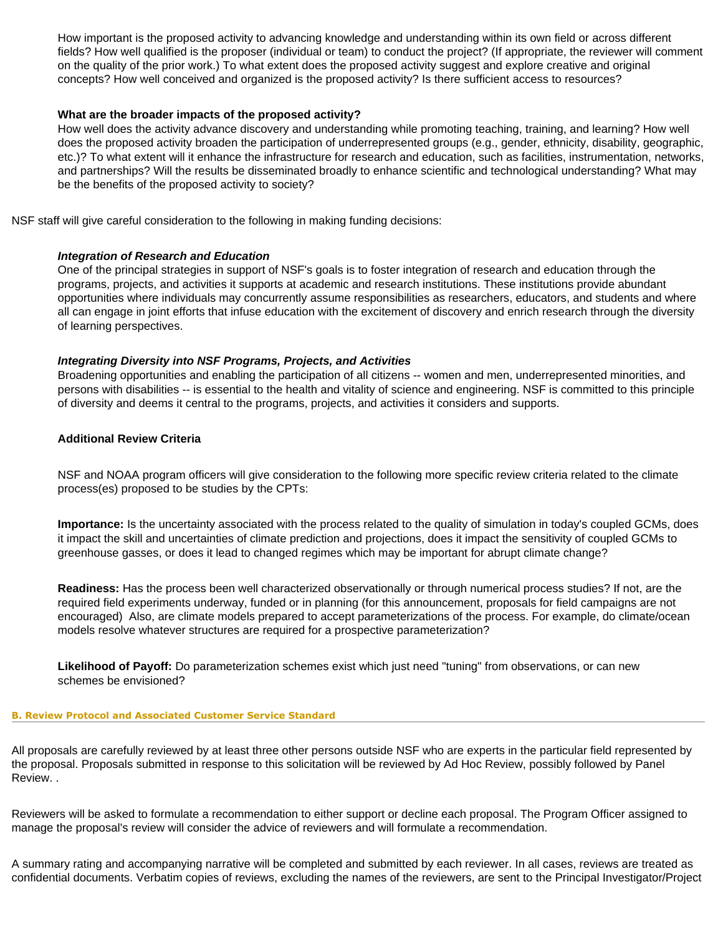How important is the proposed activity to advancing knowledge and understanding within its own field or across different fields? How well qualified is the proposer (individual or team) to conduct the project? (If appropriate, the reviewer will comment on the quality of the prior work.) To what extent does the proposed activity suggest and explore creative and original concepts? How well conceived and organized is the proposed activity? Is there sufficient access to resources?

# **What are the broader impacts of the proposed activity?**

How well does the activity advance discovery and understanding while promoting teaching, training, and learning? How well does the proposed activity broaden the participation of underrepresented groups (e.g., gender, ethnicity, disability, geographic, etc.)? To what extent will it enhance the infrastructure for research and education, such as facilities, instrumentation, networks, and partnerships? Will the results be disseminated broadly to enhance scientific and technological understanding? What may be the benefits of the proposed activity to society?

NSF staff will give careful consideration to the following in making funding decisions:

# *Integration of Research and Education*

One of the principal strategies in support of NSF's goals is to foster integration of research and education through the programs, projects, and activities it supports at academic and research institutions. These institutions provide abundant opportunities where individuals may concurrently assume responsibilities as researchers, educators, and students and where all can engage in joint efforts that infuse education with the excitement of discovery and enrich research through the diversity of learning perspectives.

# *Integrating Diversity into NSF Programs, Projects, and Activities*

Broadening opportunities and enabling the participation of all citizens -- women and men, underrepresented minorities, and persons with disabilities -- is essential to the health and vitality of science and engineering. NSF is committed to this principle of diversity and deems it central to the programs, projects, and activities it considers and supports.

# **Additional Review Criteria**

NSF and NOAA program officers will give consideration to the following more specific review criteria related to the climate process(es) proposed to be studies by the CPTs:

**Importance:** Is the uncertainty associated with the process related to the quality of simulation in today's coupled GCMs, does it impact the skill and uncertainties of climate prediction and projections, does it impact the sensitivity of coupled GCMs to greenhouse gasses, or does it lead to changed regimes which may be important for abrupt climate change?

**Readiness:** Has the process been well characterized observationally or through numerical process studies? If not, are the required field experiments underway, funded or in planning (for this announcement, proposals for field campaigns are not encouraged) Also, are climate models prepared to accept parameterizations of the process. For example, do climate/ocean models resolve whatever structures are required for a prospective parameterization?

**Likelihood of Payoff:** Do parameterization schemes exist which just need "tuning" from observations, or can new schemes be envisioned?

# <span id="page-9-0"></span>**B. Review Protocol and Associated Customer Service Standard**

All proposals are carefully reviewed by at least three other persons outside NSF who are experts in the particular field represented by the proposal. Proposals submitted in response to this solicitation will be reviewed by Ad Hoc Review, possibly followed by Panel Review. .

Reviewers will be asked to formulate a recommendation to either support or decline each proposal. The Program Officer assigned to manage the proposal's review will consider the advice of reviewers and will formulate a recommendation.

A summary rating and accompanying narrative will be completed and submitted by each reviewer. In all cases, reviews are treated as confidential documents. Verbatim copies of reviews, excluding the names of the reviewers, are sent to the Principal Investigator/Project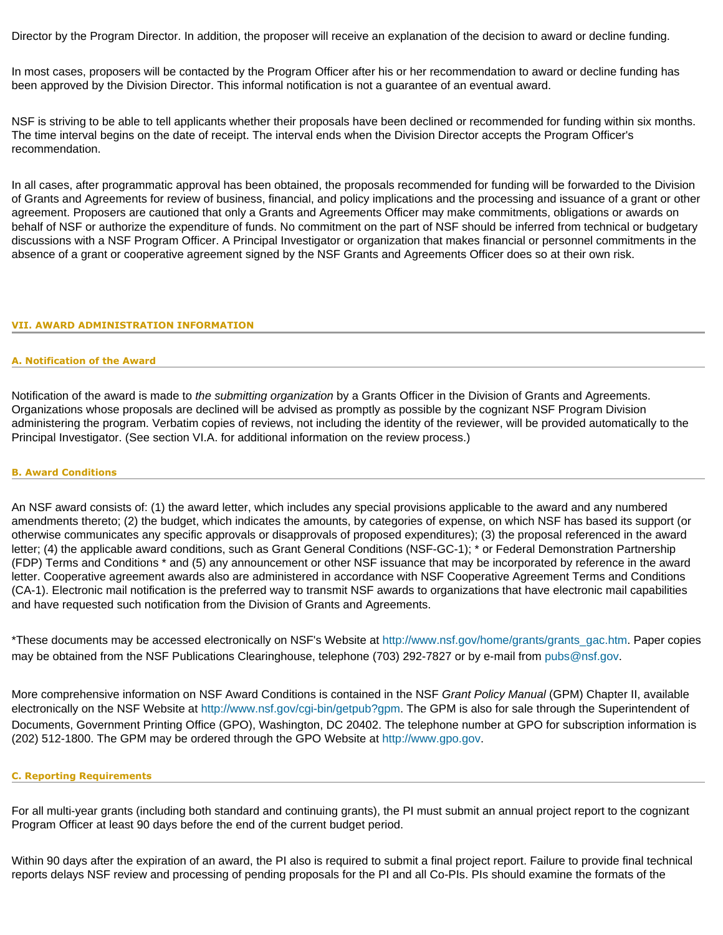Director by the Program Director. In addition, the proposer will receive an explanation of the decision to award or decline funding.

In most cases, proposers will be contacted by the Program Officer after his or her recommendation to award or decline funding has been approved by the Division Director. This informal notification is not a guarantee of an eventual award.

NSF is striving to be able to tell applicants whether their proposals have been declined or recommended for funding within six months. The time interval begins on the date of receipt. The interval ends when the Division Director accepts the Program Officer's recommendation.

In all cases, after programmatic approval has been obtained, the proposals recommended for funding will be forwarded to the Division of Grants and Agreements for review of business, financial, and policy implications and the processing and issuance of a grant or other agreement. Proposers are cautioned that only a Grants and Agreements Officer may make commitments, obligations or awards on behalf of NSF or authorize the expenditure of funds. No commitment on the part of NSF should be inferred from technical or budgetary discussions with a NSF Program Officer. A Principal Investigator or organization that makes financial or personnel commitments in the absence of a grant or cooperative agreement signed by the NSF Grants and Agreements Officer does so at their own risk.

#### <span id="page-10-1"></span><span id="page-10-0"></span>**VII. AWARD ADMINISTRATION INFORMATION**

#### **A. Notification of the Award**

Notification of the award is made to *the submitting organization* by a Grants Officer in the Division of Grants and Agreements. Organizations whose proposals are declined will be advised as promptly as possible by the cognizant NSF Program Division administering the program. Verbatim copies of reviews, not including the identity of the reviewer, will be provided automatically to the Principal Investigator. (See section VI.A. for additional information on the review process.)

#### <span id="page-10-2"></span>**B. Award Conditions**

An NSF award consists of: (1) the award letter, which includes any special provisions applicable to the award and any numbered amendments thereto; (2) the budget, which indicates the amounts, by categories of expense, on which NSF has based its support (or otherwise communicates any specific approvals or disapprovals of proposed expenditures); (3) the proposal referenced in the award letter; (4) the applicable award conditions, such as Grant General Conditions (NSF-GC-1); \* or Federal Demonstration Partnership (FDP) Terms and Conditions \* and (5) any announcement or other NSF issuance that may be incorporated by reference in the award letter. Cooperative agreement awards also are administered in accordance with NSF Cooperative Agreement Terms and Conditions (CA-1). Electronic mail notification is the preferred way to transmit NSF awards to organizations that have electronic mail capabilities and have requested such notification from the Division of Grants and Agreements.

\*These documents may be accessed electronically on NSF's Website at [http://www.nsf.gov/home/grants/grants\\_gac.htm](http://www.nsf.gov/home/grants/grants_gac.htm). Paper copies may be obtained from the NSF Publications Clearinghouse, telephone (703) 292-7827 or by e-mail from [pubs@nsf.gov](mailto:pubs@nsf.gov).

More comprehensive information on NSF Award Conditions is contained in the NSF *Grant Policy Manual* (GPM) Chapter II, available electronically on the NSF Website at<http://www.nsf.gov/cgi-bin/getpub?gpm>. The GPM is also for sale through the Superintendent of Documents, Government Printing Office (GPO), Washington, DC 20402. The telephone number at GPO for subscription information is (202) 512-1800. The GPM may be ordered through the GPO Website at [http://www.gpo.gov](http://www.gpo.gov/).

#### <span id="page-10-3"></span>**C. Reporting Requirements**

For all multi-year grants (including both standard and continuing grants), the PI must submit an annual project report to the cognizant Program Officer at least 90 days before the end of the current budget period.

Within 90 days after the expiration of an award, the PI also is required to submit a final project report. Failure to provide final technical reports delays NSF review and processing of pending proposals for the PI and all Co-PIs. PIs should examine the formats of the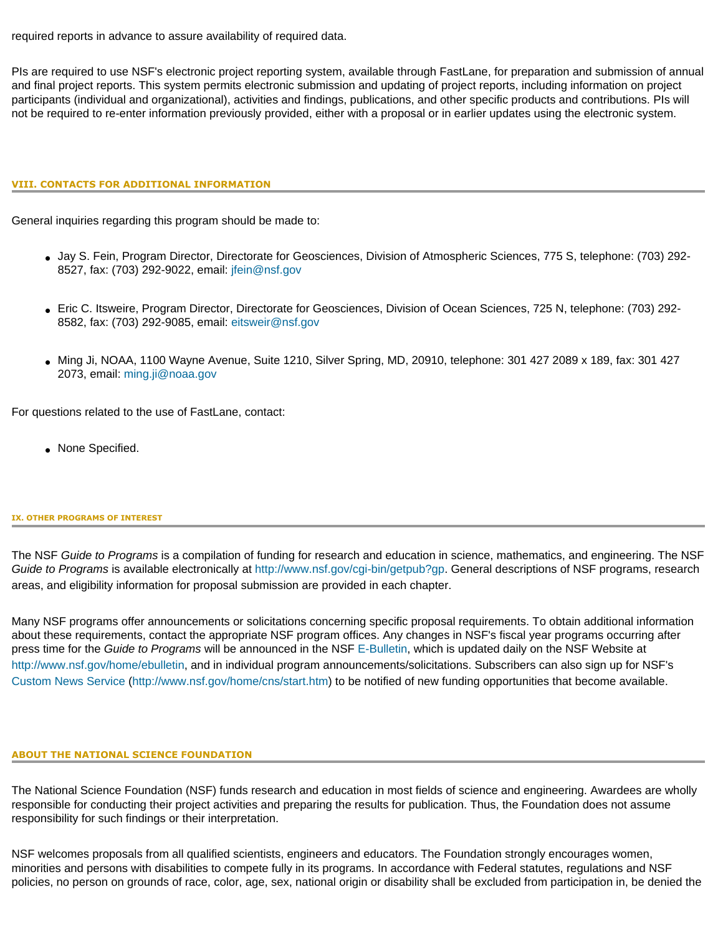required reports in advance to assure availability of required data.

<span id="page-11-0"></span>PIs are required to use NSF's electronic project reporting system, available through FastLane, for preparation and submission of annual and final project reports. This system permits electronic submission and updating of project reports, including information on project participants (individual and organizational), activities and findings, publications, and other specific products and contributions. PIs will not be required to re-enter information previously provided, either with a proposal or in earlier updates using the electronic system.

### **VIII. CONTACTS FOR ADDITIONAL INFORMATION**

General inquiries regarding this program should be made to:

- Jay S. Fein, Program Director, Directorate for Geosciences, Division of Atmospheric Sciences, 775 S, telephone: (703) 292- 8527, fax: (703) 292-9022, email: [jfein@nsf.gov](mailto:jfein@nsf.gov)
- Eric C. Itsweire, Program Director, Directorate for Geosciences, Division of Ocean Sciences, 725 N, telephone: (703) 292- 8582, fax: (703) 292-9085, email: [eitsweir@nsf.gov](mailto:eitsweir@nsf.gov)
- Ming Ji, NOAA, 1100 Wayne Avenue, Suite 1210, Silver Spring, MD, 20910, telephone: 301 427 2089 x 189, fax: 301 427 2073, email: [ming.ji@noaa.gov](mailto:ming.ji@noaa.gov)

For questions related to the use of FastLane, contact:

<span id="page-11-1"></span>• None Specified.

#### **IX. OTHER PROGRAMS OF INTEREST**

The NSF *Guide to Programs* is a compilation of funding for research and education in science, mathematics, and engineering. The NSF *Guide to Programs* is available electronically at [http://www.nsf.gov/cgi-bin/getpub?gp.](http://www.nsf.gov/cgi-bin/getpub?gp) General descriptions of NSF programs, research areas, and eligibility information for proposal submission are provided in each chapter.

Many NSF programs offer announcements or solicitations concerning specific proposal requirements. To obtain additional information about these requirements, contact the appropriate NSF program offices. Any changes in NSF's fiscal year programs occurring after press time for the *Guide to Programs* will be announced in the NSF [E-Bulletin](http://www.nsf.gov/home/ebulletin), which is updated daily on the NSF Website at <http://www.nsf.gov/home/ebulletin>, and in individual program announcements/solicitations. Subscribers can also sign up for NSF's [Custom News Service](http://www.nsf.gov/home/cns/start.htm) [\(http://www.nsf.gov/home/cns/start.htm](http://www.nsf.gov/home/cns/start.htm)) to be notified of new funding opportunities that become available.

### **ABOUT THE NATIONAL SCIENCE FOUNDATION**

The National Science Foundation (NSF) funds research and education in most fields of science and engineering. Awardees are wholly responsible for conducting their project activities and preparing the results for publication. Thus, the Foundation does not assume responsibility for such findings or their interpretation.

NSF welcomes proposals from all qualified scientists, engineers and educators. The Foundation strongly encourages women, minorities and persons with disabilities to compete fully in its programs. In accordance with Federal statutes, regulations and NSF policies, no person on grounds of race, color, age, sex, national origin or disability shall be excluded from participation in, be denied the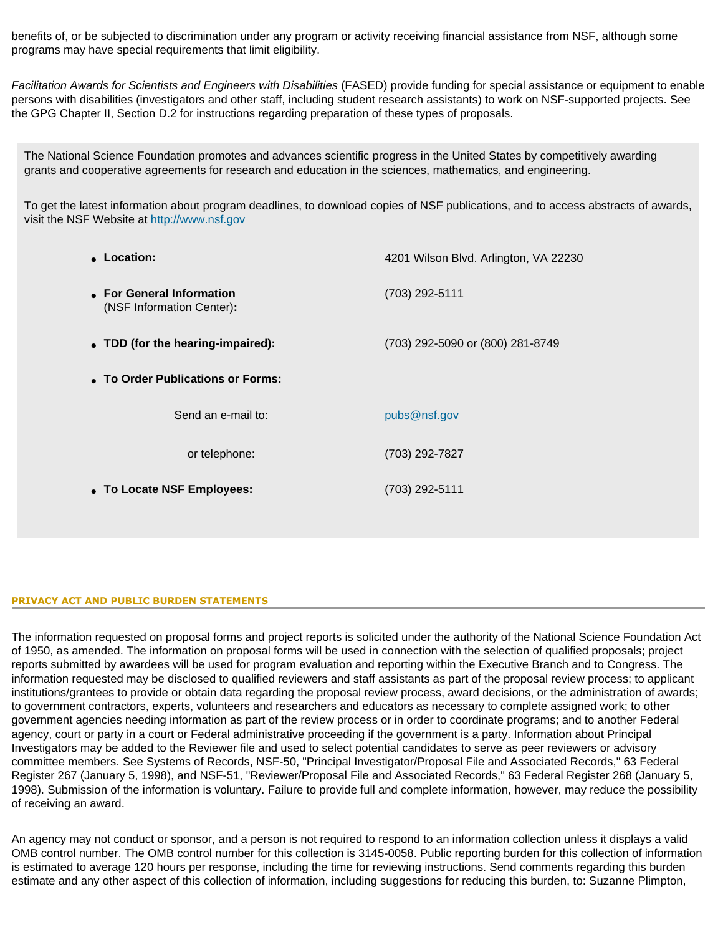benefits of, or be subjected to discrimination under any program or activity receiving financial assistance from NSF, although some programs may have special requirements that limit eligibility.

*Facilitation Awards for Scientists and Engineers with Disabilities* (FASED) provide funding for special assistance or equipment to enable persons with disabilities (investigators and other staff, including student research assistants) to work on NSF-supported projects. See the GPG Chapter II, Section D.2 for instructions regarding preparation of these types of proposals.

The National Science Foundation promotes and advances scientific progress in the United States by competitively awarding grants and cooperative agreements for research and education in the sciences, mathematics, and engineering.

To get the latest information about program deadlines, to download copies of NSF publications, and to access abstracts of awards, visit the NSF Website at [http://www.nsf.gov](http://www.nsf.gov/)

| • Location:                                            | 4201 Wilson Blvd. Arlington, VA 22230 |
|--------------------------------------------------------|---------------------------------------|
| • For General Information<br>(NSF Information Center): | (703) 292-5111                        |
| • TDD (for the hearing-impaired):                      | (703) 292-5090 or (800) 281-8749      |
| • To Order Publications or Forms:                      |                                       |
| Send an e-mail to:                                     | pubs@nsf.gov                          |
| or telephone:                                          | (703) 292-7827                        |
| • To Locate NSF Employees:                             | $(703)$ 292-5111                      |

### **PRIVACY ACT AND PUBLIC BURDEN STATEMENTS**

The information requested on proposal forms and project reports is solicited under the authority of the National Science Foundation Act of 1950, as amended. The information on proposal forms will be used in connection with the selection of qualified proposals; project reports submitted by awardees will be used for program evaluation and reporting within the Executive Branch and to Congress. The information requested may be disclosed to qualified reviewers and staff assistants as part of the proposal review process; to applicant institutions/grantees to provide or obtain data regarding the proposal review process, award decisions, or the administration of awards; to government contractors, experts, volunteers and researchers and educators as necessary to complete assigned work; to other government agencies needing information as part of the review process or in order to coordinate programs; and to another Federal agency, court or party in a court or Federal administrative proceeding if the government is a party. Information about Principal Investigators may be added to the Reviewer file and used to select potential candidates to serve as peer reviewers or advisory committee members. See Systems of Records, NSF-50, "Principal Investigator/Proposal File and Associated Records," 63 Federal Register 267 (January 5, 1998), and NSF-51, "Reviewer/Proposal File and Associated Records," 63 Federal Register 268 (January 5, 1998). Submission of the information is voluntary. Failure to provide full and complete information, however, may reduce the possibility of receiving an award.

An agency may not conduct or sponsor, and a person is not required to respond to an information collection unless it displays a valid OMB control number. The OMB control number for this collection is 3145-0058. Public reporting burden for this collection of information is estimated to average 120 hours per response, including the time for reviewing instructions. Send comments regarding this burden estimate and any other aspect of this collection of information, including suggestions for reducing this burden, to: Suzanne Plimpton,